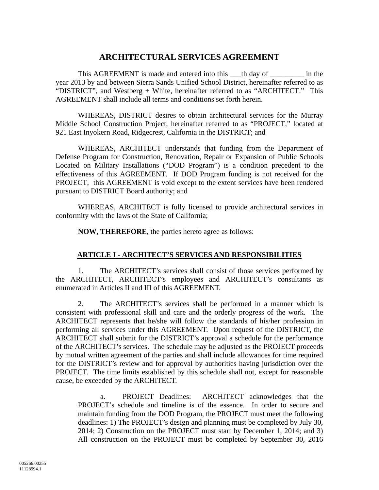# **ARCHITECTURAL SERVICES AGREEMENT**

This AGREEMENT is made and entered into this \_\_\_th day of \_\_\_\_\_\_\_ in the year 2013 by and between Sierra Sands Unified School District, hereinafter referred to as "DISTRICT", and Westberg + White, hereinafter referred to as "ARCHITECT." This AGREEMENT shall include all terms and conditions set forth herein.

WHEREAS, DISTRICT desires to obtain architectural services for the Murray Middle School Construction Project, hereinafter referred to as "PROJECT," located at 921 East Inyokern Road, Ridgecrest, California in the DISTRICT; and

WHEREAS, ARCHITECT understands that funding from the Department of Defense Program for Construction, Renovation, Repair or Expansion of Public Schools Located on Military Installations ("DOD Program") is a condition precedent to the effectiveness of this AGREEMENT. If DOD Program funding is not received for the PROJECT, this AGREEMENT is void except to the extent services have been rendered pursuant to DISTRICT Board authority; and

WHEREAS, ARCHITECT is fully licensed to provide architectural services in conformity with the laws of the State of California;

**NOW, THEREFORE**, the parties hereto agree as follows:

#### **ARTICLE I - ARCHITECT'S SERVICES AND RESPONSIBILITIES**

1. The ARCHITECT's services shall consist of those services performed by the ARCHITECT, ARCHITECT's employees and ARCHITECT's consultants as enumerated in Articles II and III of this AGREEMENT.

2. The ARCHITECT's services shall be performed in a manner which is consistent with professional skill and care and the orderly progress of the work. The ARCHITECT represents that he/she will follow the standards of his/her profession in performing all services under this AGREEMENT. Upon request of the DISTRICT, the ARCHITECT shall submit for the DISTRICT's approval a schedule for the performance of the ARCHITECT's services. The schedule may be adjusted as the PROJECT proceeds by mutual written agreement of the parties and shall include allowances for time required for the DISTRICT's review and for approval by authorities having jurisdiction over the PROJECT. The time limits established by this schedule shall not, except for reasonable cause, be exceeded by the ARCHITECT.

a. PROJECT Deadlines: ARCHITECT acknowledges that the PROJECT's schedule and timeline is of the essence. In order to secure and maintain funding from the DOD Program, the PROJECT must meet the following deadlines: 1) The PROJECT's design and planning must be completed by July 30, 2014; 2) Construction on the PROJECT must start by December 1, 2014; and 3) All construction on the PROJECT must be completed by September 30, 2016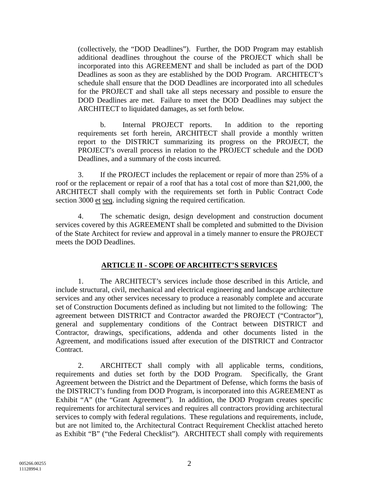(collectively, the "DOD Deadlines"). Further, the DOD Program may establish additional deadlines throughout the course of the PROJECT which shall be incorporated into this AGREEMENT and shall be included as part of the DOD Deadlines as soon as they are established by the DOD Program. ARCHITECT's schedule shall ensure that the DOD Deadlines are incorporated into all schedules for the PROJECT and shall take all steps necessary and possible to ensure the DOD Deadlines are met. Failure to meet the DOD Deadlines may subject the ARCHITECT to liquidated damages, as set forth below.

b. Internal PROJECT reports. In addition to the reporting requirements set forth herein, ARCHITECT shall provide a monthly written report to the DISTRICT summarizing its progress on the PROJECT, the PROJECT's overall process in relation to the PROJECT schedule and the DOD Deadlines, and a summary of the costs incurred.

3. If the PROJECT includes the replacement or repair of more than 25% of a roof or the replacement or repair of a roof that has a total cost of more than \$21,000, the ARCHITECT shall comply with the requirements set forth in Public Contract Code section 3000 et seq. including signing the required certification.

4. The schematic design, design development and construction document services covered by this AGREEMENT shall be completed and submitted to the Division of the State Architect for review and approval in a timely manner to ensure the PROJECT meets the DOD Deadlines.

## **ARTICLE II - SCOPE OF ARCHITECT'S SERVICES**

1. The ARCHITECT's services include those described in this Article, and include structural, civil, mechanical and electrical engineering and landscape architecture services and any other services necessary to produce a reasonably complete and accurate set of Construction Documents defined as including but not limited to the following: The agreement between DISTRICT and Contractor awarded the PROJECT ("Contractor"), general and supplementary conditions of the Contract between DISTRICT and Contractor, drawings, specifications, addenda and other documents listed in the Agreement, and modifications issued after execution of the DISTRICT and Contractor Contract.

2. ARCHITECT shall comply with all applicable terms, conditions, requirements and duties set forth by the DOD Program. Specifically, the Grant Agreement between the District and the Department of Defense, which forms the basis of the DISTRICT's funding from DOD Program, is incorporated into this AGREEMENT as Exhibit "A" (the "Grant Agreement"). In addition, the DOD Program creates specific requirements for architectural services and requires all contractors providing architectural services to comply with federal regulations. These regulations and requirements, include, but are not limited to, the Architectural Contract Requirement Checklist attached hereto as Exhibit "B" ("the Federal Checklist"). ARCHITECT shall comply with requirements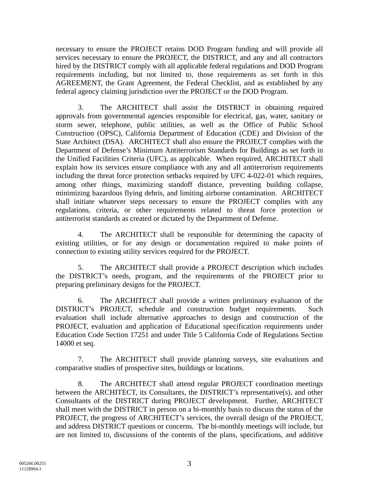necessary to ensure the PROJECT retains DOD Program funding and will provide all services necessary to ensure the PROJECT, the DISTRICT, and any and all contractors hired by the DISTRICT comply with all applicable federal regulations and DOD Program requirements including, but not limited to, those requirements as set forth in this AGREEMENT, the Grant Agreement, the Federal Checklist, and as established by any federal agency claiming jurisdiction over the PROJECT or the DOD Program.

3. The ARCHITECT shall assist the DISTRICT in obtaining required approvals from governmental agencies responsible for electrical, gas, water, sanitary or storm sewer, telephone, public utilities, as well as the Office of Public School Construction (OPSC), California Department of Education (CDE) and Division of the State Architect (DSA). ARCHITECT shall also ensure the PROJECT complies with the Department of Defense's Minimum Antiterrorism Standards for Buildings as set forth in the Unified Facilities Criteria (UFC), as applicable. When required, ARCHITECT shall explain how its services ensure compliance with any and all antiterrorism requirements including the threat force protection setbacks required by UFC 4-022-01 which requires, among other things, maximizing standoff distance, preventing building collapse, minimizing hazardous flying debris, and limiting airborne contamination. ARCHITECT shall initiate whatever steps necessary to ensure the PROJECT complies with any regulations, criteria, or other requirements related to threat force protection or antiterrorist standards as created or dictated by the Department of Defense.

4. The ARCHITECT shall be responsible for determining the capacity of existing utilities, or for any design or documentation required to make points of connection to existing utility services required for the PROJECT.

5. The ARCHITECT shall provide a PROJECT description which includes the DISTRICT's needs, program, and the requirements of the PROJECT prior to preparing preliminary designs for the PROJECT.

6. The ARCHITECT shall provide a written preliminary evaluation of the DISTRICT's PROJECT, schedule and construction budget requirements. Such evaluation shall include alternative approaches to design and construction of the PROJECT, evaluation and application of Educational specification requirements under Education Code Section 17251 and under Title 5 California Code of Regulations Section 14000 et seq.

7. The ARCHITECT shall provide planning surveys, site evaluations and comparative studies of prospective sites, buildings or locations.

8. The ARCHITECT shall attend regular PROJECT coordination meetings between the ARCHITECT, its Consultants, the DISTRICT's representative(s), and other Consultants of the DISTRICT during PROJECT development. Further, ARCHITECT shall meet with the DISTRICT in person on a bi-monthly basis to discuss the status of the PROJECT, the progress of ARCHITECT's services, the overall design of the PROJECT, and address DISTRICT questions or concerns. The bi-monthly meetings will include, but are not limited to, discussions of the contents of the plans, specifications, and additive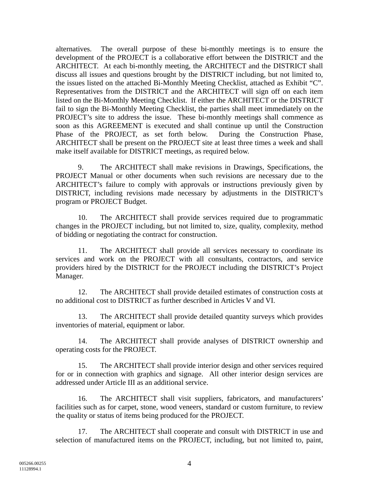alternatives. The overall purpose of these bi-monthly meetings is to ensure the development of the PROJECT is a collaborative effort between the DISTRICT and the ARCHITECT. At each bi-monthly meeting, the ARCHITECT and the DISTRICT shall discuss all issues and questions brought by the DISTRICT including, but not limited to, the issues listed on the attached Bi-Monthly Meeting Checklist, attached as Exhibit "C". Representatives from the DISTRICT and the ARCHITECT will sign off on each item listed on the Bi-Monthly Meeting Checklist. If either the ARCHITECT or the DISTRICT fail to sign the Bi-Monthly Meeting Checklist, the parties shall meet immediately on the PROJECT's site to address the issue. These bi-monthly meetings shall commence as soon as this AGREEMENT is executed and shall continue up until the Construction Phase of the PROJECT, as set forth below. During the Construction Phase, ARCHITECT shall be present on the PROJECT site at least three times a week and shall make itself available for DISTRICT meetings, as required below.

9. The ARCHITECT shall make revisions in Drawings, Specifications, the PROJECT Manual or other documents when such revisions are necessary due to the ARCHITECT's failure to comply with approvals or instructions previously given by DISTRICT, including revisions made necessary by adjustments in the DISTRICT's program or PROJECT Budget.

10. The ARCHITECT shall provide services required due to programmatic changes in the PROJECT including, but not limited to, size, quality, complexity, method of bidding or negotiating the contract for construction.

11. The ARCHITECT shall provide all services necessary to coordinate its services and work on the PROJECT with all consultants, contractors, and service providers hired by the DISTRICT for the PROJECT including the DISTRICT's Project Manager.

12. The ARCHITECT shall provide detailed estimates of construction costs at no additional cost to DISTRICT as further described in Articles V and VI.

13. The ARCHITECT shall provide detailed quantity surveys which provides inventories of material, equipment or labor.

14. The ARCHITECT shall provide analyses of DISTRICT ownership and operating costs for the PROJECT.

15. The ARCHITECT shall provide interior design and other services required for or in connection with graphics and signage. All other interior design services are addressed under Article III as an additional service.

16. The ARCHITECT shall visit suppliers, fabricators, and manufacturers' facilities such as for carpet, stone, wood veneers, standard or custom furniture, to review the quality or status of items being produced for the PROJECT.

17. The ARCHITECT shall cooperate and consult with DISTRICT in use and selection of manufactured items on the PROJECT, including, but not limited to, paint,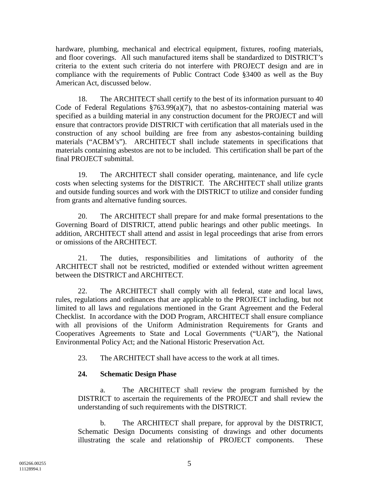hardware, plumbing, mechanical and electrical equipment, fixtures, roofing materials, and floor coverings. All such manufactured items shall be standardized to DISTRICT's criteria to the extent such criteria do not interfere with PROJECT design and are in compliance with the requirements of Public Contract Code §3400 as well as the Buy American Act, discussed below.

18. The ARCHITECT shall certify to the best of its information pursuant to 40 Code of Federal Regulations  $$763.99(a)(7)$ , that no asbestos-containing material was specified as a building material in any construction document for the PROJECT and will ensure that contractors provide DISTRICT with certification that all materials used in the construction of any school building are free from any asbestos-containing building materials ("ACBM's"). ARCHITECT shall include statements in specifications that materials containing asbestos are not to be included. This certification shall be part of the final PROJECT submittal.

19. The ARCHITECT shall consider operating, maintenance, and life cycle costs when selecting systems for the DISTRICT. The ARCHITECT shall utilize grants and outside funding sources and work with the DISTRICT to utilize and consider funding from grants and alternative funding sources.

20. The ARCHITECT shall prepare for and make formal presentations to the Governing Board of DISTRICT, attend public hearings and other public meetings. In addition, ARCHITECT shall attend and assist in legal proceedings that arise from errors or omissions of the ARCHITECT.

21. The duties, responsibilities and limitations of authority of the ARCHITECT shall not be restricted, modified or extended without written agreement between the DISTRICT and ARCHITECT.

22. The ARCHITECT shall comply with all federal, state and local laws, rules, regulations and ordinances that are applicable to the PROJECT including, but not limited to all laws and regulations mentioned in the Grant Agreement and the Federal Checklist. In accordance with the DOD Program, ARCHITECT shall ensure compliance with all provisions of the Uniform Administration Requirements for Grants and Cooperatives Agreements to State and Local Governments ("UAR"), the National Environmental Policy Act; and the National Historic Preservation Act.

23. The ARCHITECT shall have access to the work at all times.

## **24. Schematic Design Phase**

The ARCHITECT shall review the program furnished by the DISTRICT to ascertain the requirements of the PROJECT and shall review the understanding of such requirements with the DISTRICT.

b. The ARCHITECT shall prepare, for approval by the DISTRICT, Schematic Design Documents consisting of drawings and other documents illustrating the scale and relationship of PROJECT components. These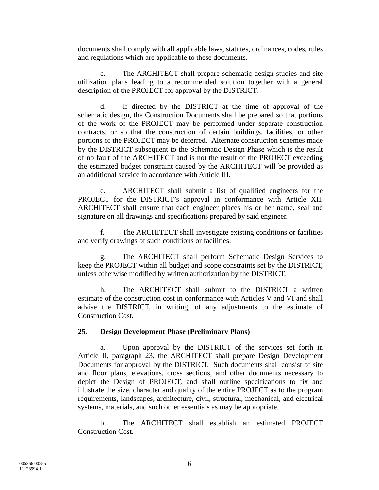documents shall comply with all applicable laws, statutes, ordinances, codes, rules and regulations which are applicable to these documents.

c. The ARCHITECT shall prepare schematic design studies and site utilization plans leading to a recommended solution together with a general description of the PROJECT for approval by the DISTRICT.

d. If directed by the DISTRICT at the time of approval of the schematic design, the Construction Documents shall be prepared so that portions of the work of the PROJECT may be performed under separate construction contracts, or so that the construction of certain buildings, facilities, or other portions of the PROJECT may be deferred. Alternate construction schemes made by the DISTRICT subsequent to the Schematic Design Phase which is the result of no fault of the ARCHITECT and is not the result of the PROJECT exceeding the estimated budget constraint caused by the ARCHITECT will be provided as an additional service in accordance with Article III.

e. ARCHITECT shall submit a list of qualified engineers for the PROJECT for the DISTRICT's approval in conformance with Article XII. ARCHITECT shall ensure that each engineer places his or her name, seal and signature on all drawings and specifications prepared by said engineer.

f. The ARCHITECT shall investigate existing conditions or facilities and verify drawings of such conditions or facilities.

g. The ARCHITECT shall perform Schematic Design Services to keep the PROJECT within all budget and scope constraints set by the DISTRICT, unless otherwise modified by written authorization by the DISTRICT.

h. The ARCHITECT shall submit to the DISTRICT a written estimate of the construction cost in conformance with Articles V and VI and shall advise the DISTRICT, in writing, of any adjustments to the estimate of Construction Cost.

#### **25. Design Development Phase (Preliminary Plans)**

a. Upon approval by the DISTRICT of the services set forth in Article II, paragraph 23, the ARCHITECT shall prepare Design Development Documents for approval by the DISTRICT. Such documents shall consist of site and floor plans, elevations, cross sections, and other documents necessary to depict the Design of PROJECT, and shall outline specifications to fix and illustrate the size, character and quality of the entire PROJECT as to the program requirements, landscapes, architecture, civil, structural, mechanical, and electrical systems, materials, and such other essentials as may be appropriate.

b. The ARCHITECT shall establish an estimated PROJECT Construction Cost.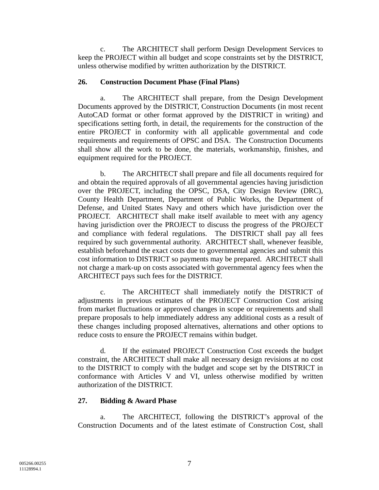c. The ARCHITECT shall perform Design Development Services to keep the PROJECT within all budget and scope constraints set by the DISTRICT, unless otherwise modified by written authorization by the DISTRICT.

#### **26. Construction Document Phase (Final Plans)**

a. The ARCHITECT shall prepare, from the Design Development Documents approved by the DISTRICT, Construction Documents (in most recent AutoCAD format or other format approved by the DISTRICT in writing) and specifications setting forth, in detail, the requirements for the construction of the entire PROJECT in conformity with all applicable governmental and code requirements and requirements of OPSC and DSA. The Construction Documents shall show all the work to be done, the materials, workmanship, finishes, and equipment required for the PROJECT.

b. The ARCHITECT shall prepare and file all documents required for and obtain the required approvals of all governmental agencies having jurisdiction over the PROJECT, including the OPSC, DSA, City Design Review (DRC), County Health Department, Department of Public Works, the Department of Defense, and United States Navy and others which have jurisdiction over the PROJECT. ARCHITECT shall make itself available to meet with any agency having jurisdiction over the PROJECT to discuss the progress of the PROJECT and compliance with federal regulations. The DISTRICT shall pay all fees required by such governmental authority. ARCHITECT shall, whenever feasible, establish beforehand the exact costs due to governmental agencies and submit this cost information to DISTRICT so payments may be prepared. ARCHITECT shall not charge a mark-up on costs associated with governmental agency fees when the ARCHITECT pays such fees for the DISTRICT.

c. The ARCHITECT shall immediately notify the DISTRICT of adjustments in previous estimates of the PROJECT Construction Cost arising from market fluctuations or approved changes in scope or requirements and shall prepare proposals to help immediately address any additional costs as a result of these changes including proposed alternatives, alternations and other options to reduce costs to ensure the PROJECT remains within budget.

d. If the estimated PROJECT Construction Cost exceeds the budget constraint, the ARCHITECT shall make all necessary design revisions at no cost to the DISTRICT to comply with the budget and scope set by the DISTRICT in conformance with Articles V and VI, unless otherwise modified by written authorization of the DISTRICT.

#### **27. Bidding & Award Phase**

a. The ARCHITECT, following the DISTRICT's approval of the Construction Documents and of the latest estimate of Construction Cost, shall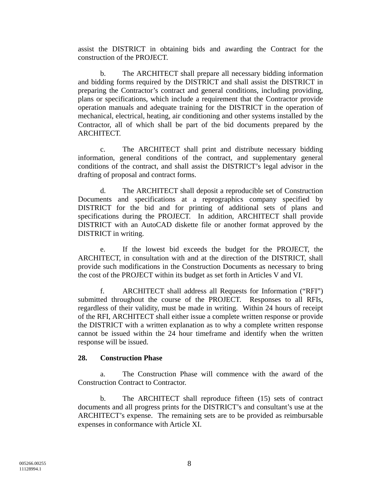assist the DISTRICT in obtaining bids and awarding the Contract for the construction of the PROJECT.

b. The ARCHITECT shall prepare all necessary bidding information and bidding forms required by the DISTRICT and shall assist the DISTRICT in preparing the Contractor's contract and general conditions, including providing, plans or specifications, which include a requirement that the Contractor provide operation manuals and adequate training for the DISTRICT in the operation of mechanical, electrical, heating, air conditioning and other systems installed by the Contractor, all of which shall be part of the bid documents prepared by the ARCHITECT.

c. The ARCHITECT shall print and distribute necessary bidding information, general conditions of the contract, and supplementary general conditions of the contract, and shall assist the DISTRICT's legal advisor in the drafting of proposal and contract forms.

d. The ARCHITECT shall deposit a reproducible set of Construction Documents and specifications at a reprographics company specified by DISTRICT for the bid and for printing of additional sets of plans and specifications during the PROJECT. In addition, ARCHITECT shall provide DISTRICT with an AutoCAD diskette file or another format approved by the DISTRICT in writing.

e. If the lowest bid exceeds the budget for the PROJECT, the ARCHITECT, in consultation with and at the direction of the DISTRICT, shall provide such modifications in the Construction Documents as necessary to bring the cost of the PROJECT within its budget as set forth in Articles V and VI.

f. ARCHITECT shall address all Requests for Information ("RFI") submitted throughout the course of the PROJECT. Responses to all RFIs, regardless of their validity, must be made in writing. Within 24 hours of receipt of the RFI, ARCHITECT shall either issue a complete written response or provide the DISTRICT with a written explanation as to why a complete written response cannot be issued within the 24 hour timeframe and identify when the written response will be issued.

#### **28. Construction Phase**

a. The Construction Phase will commence with the award of the Construction Contract to Contractor.

b. The ARCHITECT shall reproduce fifteen (15) sets of contract documents and all progress prints for the DISTRICT's and consultant's use at the ARCHITECT's expense. The remaining sets are to be provided as reimbursable expenses in conformance with Article XI.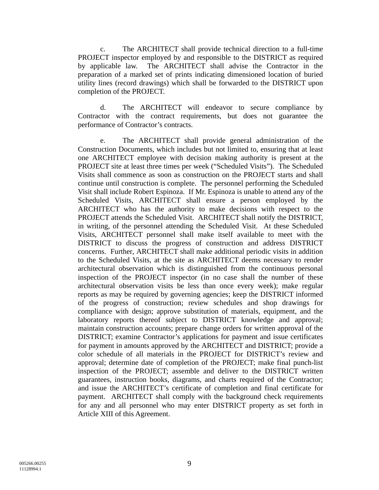c. The ARCHITECT shall provide technical direction to a full-time PROJECT inspector employed by and responsible to the DISTRICT as required by applicable law. The ARCHITECT shall advise the Contractor in the preparation of a marked set of prints indicating dimensioned location of buried utility lines (record drawings) which shall be forwarded to the DISTRICT upon completion of the PROJECT.

d. The ARCHITECT will endeavor to secure compliance by Contractor with the contract requirements, but does not guarantee the performance of Contractor's contracts.

e. The ARCHITECT shall provide general administration of the Construction Documents, which includes but not limited to, ensuring that at least one ARCHITECT employee with decision making authority is present at the PROJECT site at least three times per week ("Scheduled Visits"). The Scheduled Visits shall commence as soon as construction on the PROJECT starts and shall continue until construction is complete. The personnel performing the Scheduled Visit shall include Robert Espinoza. If Mr. Espinoza is unable to attend any of the Scheduled Visits, ARCHITECT shall ensure a person employed by the ARCHITECT who has the authority to make decisions with respect to the PROJECT attends the Scheduled Visit. ARCHITECT shall notify the DISTRICT, in writing, of the personnel attending the Scheduled Visit. At these Scheduled Visits, ARCHITECT personnel shall make itself available to meet with the DISTRICT to discuss the progress of construction and address DISTRICT concerns. Further, ARCHITECT shall make additional periodic visits in addition to the Scheduled Visits, at the site as ARCHITECT deems necessary to render architectural observation which is distinguished from the continuous personal inspection of the PROJECT inspector (in no case shall the number of these architectural observation visits be less than once every week); make regular reports as may be required by governing agencies; keep the DISTRICT informed of the progress of construction; review schedules and shop drawings for compliance with design; approve substitution of materials, equipment, and the laboratory reports thereof subject to DISTRICT knowledge and approval; maintain construction accounts; prepare change orders for written approval of the DISTRICT; examine Contractor's applications for payment and issue certificates for payment in amounts approved by the ARCHITECT and DISTRICT; provide a color schedule of all materials in the PROJECT for DISTRICT's review and approval; determine date of completion of the PROJECT; make final punch-list inspection of the PROJECT; assemble and deliver to the DISTRICT written guarantees, instruction books, diagrams, and charts required of the Contractor; and issue the ARCHITECT's certificate of completion and final certificate for payment. ARCHITECT shall comply with the background check requirements for any and all personnel who may enter DISTRICT property as set forth in Article XIII of this Agreement.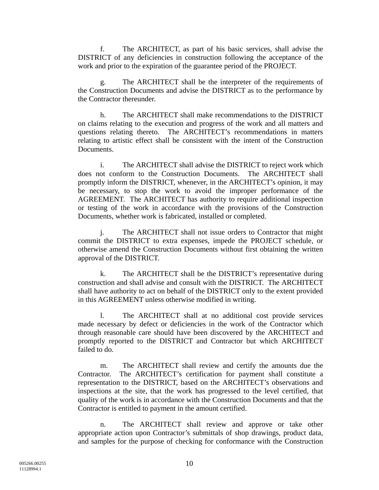f. The ARCHITECT, as part of his basic services, shall advise the DISTRICT of any deficiencies in construction following the acceptance of the work and prior to the expiration of the guarantee period of the PROJECT.

g. The ARCHITECT shall be the interpreter of the requirements of the Construction Documents and advise the DISTRICT as to the performance by the Contractor thereunder.

h. The ARCHITECT shall make recommendations to the DISTRICT on claims relating to the execution and progress of the work and all matters and questions relating thereto. The ARCHITECT's recommendations in matters relating to artistic effect shall be consistent with the intent of the Construction Documents.

i. The ARCHITECT shall advise the DISTRICT to reject work which does not conform to the Construction Documents. The ARCHITECT shall promptly inform the DISTRICT, whenever, in the ARCHITECT's opinion, it may be necessary, to stop the work to avoid the improper performance of the AGREEMENT. The ARCHITECT has authority to require additional inspection or testing of the work in accordance with the provisions of the Construction Documents, whether work is fabricated, installed or completed.

The ARCHITECT shall not issue orders to Contractor that might commit the DISTRICT to extra expenses, impede the PROJECT schedule, or otherwise amend the Construction Documents without first obtaining the written approval of the DISTRICT.

k. The ARCHITECT shall be the DISTRICT's representative during construction and shall advise and consult with the DISTRICT. The ARCHITECT shall have authority to act on behalf of the DISTRICT only to the extent provided in this AGREEMENT unless otherwise modified in writing.

l. The ARCHITECT shall at no additional cost provide services made necessary by defect or deficiencies in the work of the Contractor which through reasonable care should have been discovered by the ARCHITECT and promptly reported to the DISTRICT and Contractor but which ARCHITECT failed to do.

m. The ARCHITECT shall review and certify the amounts due the Contractor. The ARCHITECT's certification for payment shall constitute a representation to the DISTRICT, based on the ARCHITECT's observations and inspections at the site, that the work has progressed to the level certified, that quality of the work is in accordance with the Construction Documents and that the Contractor is entitled to payment in the amount certified.

n. The ARCHITECT shall review and approve or take other appropriate action upon Contractor's submittals of shop drawings, product data, and samples for the purpose of checking for conformance with the Construction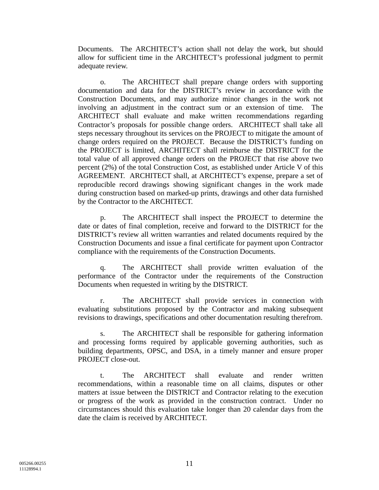Documents. The ARCHITECT's action shall not delay the work, but should allow for sufficient time in the ARCHITECT's professional judgment to permit adequate review.

o. The ARCHITECT shall prepare change orders with supporting documentation and data for the DISTRICT's review in accordance with the Construction Documents, and may authorize minor changes in the work not involving an adjustment in the contract sum or an extension of time. The ARCHITECT shall evaluate and make written recommendations regarding Contractor's proposals for possible change orders. ARCHITECT shall take all steps necessary throughout its services on the PROJECT to mitigate the amount of change orders required on the PROJECT. Because the DISTRICT's funding on the PROJECT is limited, ARCHITECT shall reimburse the DISTRICT for the total value of all approved change orders on the PROJECT that rise above two percent (2%) of the total Construction Cost, as established under Article V of this AGREEMENT. ARCHITECT shall, at ARCHITECT's expense, prepare a set of reproducible record drawings showing significant changes in the work made during construction based on marked-up prints, drawings and other data furnished by the Contractor to the ARCHITECT.

p. The ARCHITECT shall inspect the PROJECT to determine the date or dates of final completion, receive and forward to the DISTRICT for the DISTRICT's review all written warranties and related documents required by the Construction Documents and issue a final certificate for payment upon Contractor compliance with the requirements of the Construction Documents.

q. The ARCHITECT shall provide written evaluation of the performance of the Contractor under the requirements of the Construction Documents when requested in writing by the DISTRICT.

r. The ARCHITECT shall provide services in connection with evaluating substitutions proposed by the Contractor and making subsequent revisions to drawings, specifications and other documentation resulting therefrom.

s. The ARCHITECT shall be responsible for gathering information and processing forms required by applicable governing authorities, such as building departments, OPSC, and DSA, in a timely manner and ensure proper PROJECT close-out.

t. The ARCHITECT shall evaluate and render written recommendations, within a reasonable time on all claims, disputes or other matters at issue between the DISTRICT and Contractor relating to the execution or progress of the work as provided in the construction contract. Under no circumstances should this evaluation take longer than 20 calendar days from the date the claim is received by ARCHITECT.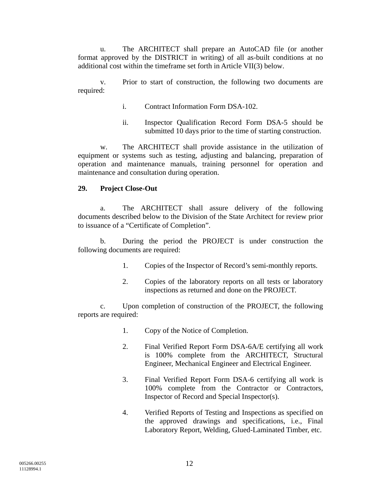u. The ARCHITECT shall prepare an AutoCAD file (or another format approved by the DISTRICT in writing) of all as-built conditions at no additional cost within the timeframe set forth in Article VII(3) below.

v. Prior to start of construction, the following two documents are required:

- i. Contract Information Form DSA-102.
- ii. Inspector Qualification Record Form DSA-5 should be submitted 10 days prior to the time of starting construction.

w. The ARCHITECT shall provide assistance in the utilization of equipment or systems such as testing, adjusting and balancing, preparation of operation and maintenance manuals, training personnel for operation and maintenance and consultation during operation.

#### **29. Project Close-Out**

a. The ARCHITECT shall assure delivery of the following documents described below to the Division of the State Architect for review prior to issuance of a "Certificate of Completion".

b. During the period the PROJECT is under construction the following documents are required:

- 1. Copies of the Inspector of Record's semi-monthly reports.
- 2. Copies of the laboratory reports on all tests or laboratory inspections as returned and done on the PROJECT.

c. Upon completion of construction of the PROJECT, the following reports are required:

- 1. Copy of the Notice of Completion.
- 2. Final Verified Report Form DSA-6A/E certifying all work is 100% complete from the ARCHITECT, Structural Engineer, Mechanical Engineer and Electrical Engineer.
- 3. Final Verified Report Form DSA-6 certifying all work is 100% complete from the Contractor or Contractors, Inspector of Record and Special Inspector(s).
- 4. Verified Reports of Testing and Inspections as specified on the approved drawings and specifications, i.e., Final Laboratory Report, Welding, Glued-Laminated Timber, etc.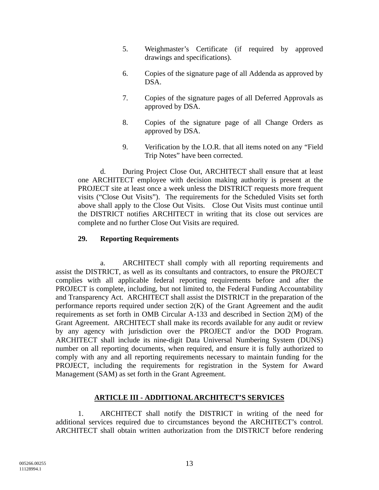- 5. Weighmaster's Certificate (if required by approved drawings and specifications).
- 6. Copies of the signature page of all Addenda as approved by DSA.
- 7. Copies of the signature pages of all Deferred Approvals as approved by DSA.
- 8. Copies of the signature page of all Change Orders as approved by DSA.
- 9. Verification by the I.O.R. that all items noted on any "Field Trip Notes" have been corrected.

d. During Project Close Out, ARCHITECT shall ensure that at least one ARCHITECT employee with decision making authority is present at the PROJECT site at least once a week unless the DISTRICT requests more frequent visits ("Close Out Visits"). The requirements for the Scheduled Visits set forth above shall apply to the Close Out Visits. Close Out Visits must continue until the DISTRICT notifies ARCHITECT in writing that its close out services are complete and no further Close Out Visits are required.

#### **29. Reporting Requirements**

 a. ARCHITECT shall comply with all reporting requirements and assist the DISTRICT, as well as its consultants and contractors, to ensure the PROJECT complies with all applicable federal reporting requirements before and after the PROJECT is complete, including, but not limited to, the Federal Funding Accountability and Transparency Act. ARCHITECT shall assist the DISTRICT in the preparation of the performance reports required under section 2(K) of the Grant Agreement and the audit requirements as set forth in OMB Circular A-133 and described in Section 2(M) of the Grant Agreement. ARCHITECT shall make its records available for any audit or review by any agency with jurisdiction over the PROJECT and/or the DOD Program. ARCHITECT shall include its nine-digit Data Universal Numbering System (DUNS) number on all reporting documents, when required, and ensure it is fully authorized to comply with any and all reporting requirements necessary to maintain funding for the PROJECT, including the requirements for registration in the System for Award Management (SAM) as set forth in the Grant Agreement.

#### **ARTICLE III - ADDITIONAL ARCHITECT'S SERVICES**

1. ARCHITECT shall notify the DISTRICT in writing of the need for additional services required due to circumstances beyond the ARCHITECT's control. ARCHITECT shall obtain written authorization from the DISTRICT before rendering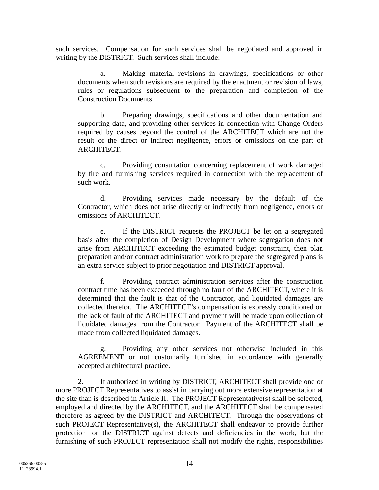such services. Compensation for such services shall be negotiated and approved in writing by the DISTRICT. Such services shall include:

a. Making material revisions in drawings, specifications or other documents when such revisions are required by the enactment or revision of laws, rules or regulations subsequent to the preparation and completion of the Construction Documents.

b. Preparing drawings, specifications and other documentation and supporting data, and providing other services in connection with Change Orders required by causes beyond the control of the ARCHITECT which are not the result of the direct or indirect negligence, errors or omissions on the part of ARCHITECT.

c. Providing consultation concerning replacement of work damaged by fire and furnishing services required in connection with the replacement of such work.

d. Providing services made necessary by the default of the Contractor, which does not arise directly or indirectly from negligence, errors or omissions of ARCHITECT.

e. If the DISTRICT requests the PROJECT be let on a segregated basis after the completion of Design Development where segregation does not arise from ARCHITECT exceeding the estimated budget constraint, then plan preparation and/or contract administration work to prepare the segregated plans is an extra service subject to prior negotiation and DISTRICT approval.

f. Providing contract administration services after the construction contract time has been exceeded through no fault of the ARCHITECT, where it is determined that the fault is that of the Contractor, and liquidated damages are collected therefor. The ARCHITECT's compensation is expressly conditioned on the lack of fault of the ARCHITECT and payment will be made upon collection of liquidated damages from the Contractor. Payment of the ARCHITECT shall be made from collected liquidated damages.

g. Providing any other services not otherwise included in this AGREEMENT or not customarily furnished in accordance with generally accepted architectural practice.

2. If authorized in writing by DISTRICT, ARCHITECT shall provide one or more PROJECT Representatives to assist in carrying out more extensive representation at the site than is described in Article II. The PROJECT Representative(s) shall be selected, employed and directed by the ARCHITECT, and the ARCHITECT shall be compensated therefore as agreed by the DISTRICT and ARCHITECT. Through the observations of such PROJECT Representative(s), the ARCHITECT shall endeavor to provide further protection for the DISTRICT against defects and deficiencies in the work, but the furnishing of such PROJECT representation shall not modify the rights, responsibilities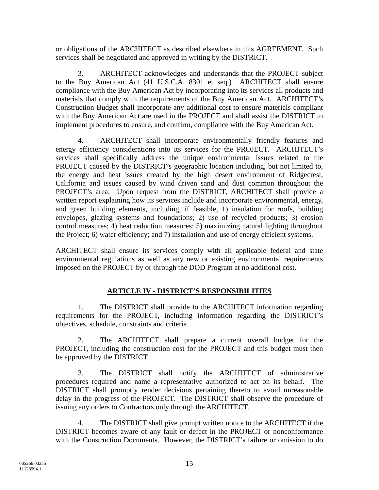or obligations of the ARCHITECT as described elsewhere in this AGREEMENT. Such services shall be negotiated and approved in writing by the DISTRICT.

3. ARCHITECT acknowledges and understands that the PROJECT subject to the Buy American Act (41 U.S.C.A. 8301 et seq.) ARCHITECT shall ensure compliance with the Buy American Act by incorporating into its services all products and materials that comply with the requirements of the Buy American Act. ARCHITECT's Construction Budget shall incorporate any additional cost to ensure materials compliant with the Buy American Act are used in the PROJECT and shall assist the DISTRICT to implement procedures to ensure, and confirm, compliance with the Buy American Act.

4. ARCHITECT shall incorporate environmentally friendly features and energy efficiency considerations into its services for the PROJECT. ARCHITECT's services shall specifically address the unique environmental issues related to the PROJECT caused by the DISTRICT's geographic location including, but not limited to, the energy and heat issues created by the high desert environment of Ridgecrest, California and issues caused by wind driven sand and dust common throughout the PROJECT's area. Upon request from the DISTRICT, ARCHITECT shall provide a written report explaining how its services include and incorporate environmental, energy, and green building elements, including, if feasible, 1) insulation for roofs, building envelopes, glazing systems and foundations; 2) use of recycled products; 3) erosion control measures; 4) heat reduction measures; 5) maximizing natural lighting throughout the Project; 6) water efficiency; and 7) installation and use of energy efficient systems.

ARCHITECT shall ensure its services comply with all applicable federal and state environmental regulations as well as any new or existing environmental requirements imposed on the PROJECT by or through the DOD Program at no additional cost.

## **ARTICLE IV - DISTRICT'S RESPONSIBILITIES**

1. The DISTRICT shall provide to the ARCHITECT information regarding requirements for the PROJECT, including information regarding the DISTRICT's objectives, schedule, constraints and criteria.

2. The ARCHITECT shall prepare a current overall budget for the PROJECT, including the construction cost for the PROJECT and this budget must then be approved by the DISTRICT.

3. The DISTRICT shall notify the ARCHITECT of administrative procedures required and name a representative authorized to act on its behalf. The DISTRICT shall promptly render decisions pertaining thereto to avoid unreasonable delay in the progress of the PROJECT. The DISTRICT shall observe the procedure of issuing any orders to Contractors only through the ARCHITECT.

4. The DISTRICT shall give prompt written notice to the ARCHITECT if the DISTRICT becomes aware of any fault or defect in the PROJECT or nonconformance with the Construction Documents. However, the DISTRICT's failure or omission to do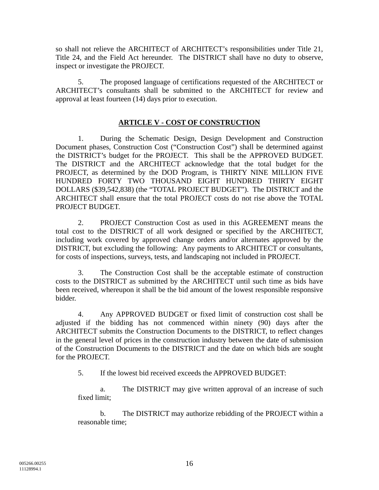so shall not relieve the ARCHITECT of ARCHITECT's responsibilities under Title 21, Title 24, and the Field Act hereunder. The DISTRICT shall have no duty to observe, inspect or investigate the PROJECT.

5. The proposed language of certifications requested of the ARCHITECT or ARCHITECT's consultants shall be submitted to the ARCHITECT for review and approval at least fourteen (14) days prior to execution.

### **ARTICLE V - COST OF CONSTRUCTION**

1. During the Schematic Design, Design Development and Construction Document phases, Construction Cost ("Construction Cost") shall be determined against the DISTRICT's budget for the PROJECT. This shall be the APPROVED BUDGET. The DISTRICT and the ARCHITECT acknowledge that the total budget for the PROJECT, as determined by the DOD Program, is THIRTY NINE MILLION FIVE HUNDRED FORTY TWO THOUSAND EIGHT HUNDRED THIRTY EIGHT DOLLARS (\$39,542,838) (the "TOTAL PROJECT BUDGET"). The DISTRICT and the ARCHITECT shall ensure that the total PROJECT costs do not rise above the TOTAL PROJECT BUDGET.

2. PROJECT Construction Cost as used in this AGREEMENT means the total cost to the DISTRICT of all work designed or specified by the ARCHITECT, including work covered by approved change orders and/or alternates approved by the DISTRICT, but excluding the following: Any payments to ARCHITECT or consultants, for costs of inspections, surveys, tests, and landscaping not included in PROJECT.

3. The Construction Cost shall be the acceptable estimate of construction costs to the DISTRICT as submitted by the ARCHITECT until such time as bids have been received, whereupon it shall be the bid amount of the lowest responsible responsive bidder.

4. Any APPROVED BUDGET or fixed limit of construction cost shall be adjusted if the bidding has not commenced within ninety (90) days after the ARCHITECT submits the Construction Documents to the DISTRICT, to reflect changes in the general level of prices in the construction industry between the date of submission of the Construction Documents to the DISTRICT and the date on which bids are sought for the PROJECT.

5. If the lowest bid received exceeds the APPROVED BUDGET:

a. The DISTRICT may give written approval of an increase of such fixed limit;

b. The DISTRICT may authorize rebidding of the PROJECT within a reasonable time;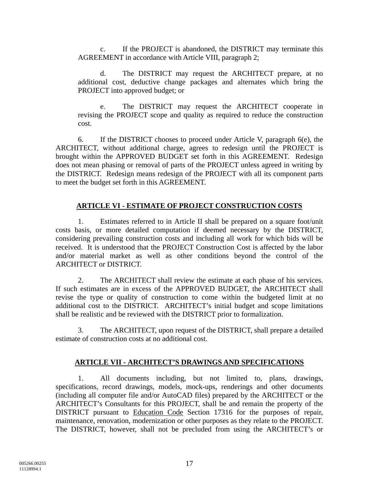c. If the PROJECT is abandoned, the DISTRICT may terminate this AGREEMENT in accordance with Article VIII, paragraph 2;

d. The DISTRICT may request the ARCHITECT prepare, at no additional cost, deductive change packages and alternates which bring the PROJECT into approved budget; or

e. The DISTRICT may request the ARCHITECT cooperate in revising the PROJECT scope and quality as required to reduce the construction cost.

6. If the DISTRICT chooses to proceed under Article V, paragraph 6(e), the ARCHITECT, without additional charge, agrees to redesign until the PROJECT is brought within the APPROVED BUDGET set forth in this AGREEMENT. Redesign does not mean phasing or removal of parts of the PROJECT unless agreed in writing by the DISTRICT. Redesign means redesign of the PROJECT with all its component parts to meet the budget set forth in this AGREEMENT.

## **ARTICLE VI - ESTIMATE OF PROJECT CONSTRUCTION COSTS**

1. Estimates referred to in Article II shall be prepared on a square foot/unit costs basis, or more detailed computation if deemed necessary by the DISTRICT, considering prevailing construction costs and including all work for which bids will be received. It is understood that the PROJECT Construction Cost is affected by the labor and/or material market as well as other conditions beyond the control of the ARCHITECT or DISTRICT.

2. The ARCHITECT shall review the estimate at each phase of his services. If such estimates are in excess of the APPROVED BUDGET, the ARCHITECT shall revise the type or quality of construction to come within the budgeted limit at no additional cost to the DISTRICT. ARCHITECT's initial budget and scope limitations shall be realistic and be reviewed with the DISTRICT prior to formalization.

3. The ARCHITECT, upon request of the DISTRICT, shall prepare a detailed estimate of construction costs at no additional cost.

#### **ARTICLE VII - ARCHITECT'S DRAWINGS AND SPECIFICATIONS**

1. All documents including, but not limited to, plans, drawings, specifications, record drawings, models, mock-ups, renderings and other documents (including all computer file and/or AutoCAD files) prepared by the ARCHITECT or the ARCHITECT's Consultants for this PROJECT, shall be and remain the property of the DISTRICT pursuant to Education Code Section 17316 for the purposes of repair, maintenance, renovation, modernization or other purposes as they relate to the PROJECT. The DISTRICT, however, shall not be precluded from using the ARCHITECT's or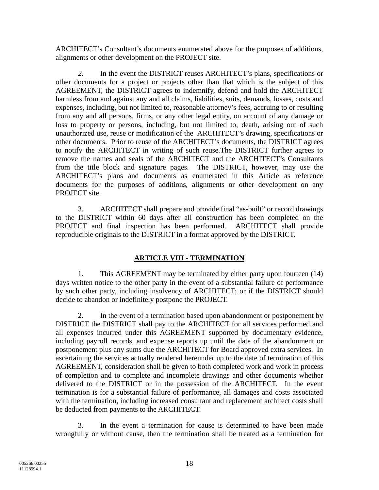ARCHITECT's Consultant's documents enumerated above for the purposes of additions, alignments or other development on the PROJECT site.

*2.* In the event the DISTRICT reuses ARCHITECT's plans, specifications or other documents for a project or projects other than that which is the subject of this AGREEMENT, the DISTRICT agrees to indemnify, defend and hold the ARCHITECT harmless from and against any and all claims, liabilities, suits, demands, losses, costs and expenses, including, but not limited to, reasonable attorney's fees, accruing to or resulting from any and all persons, firms, or any other legal entity, on account of any damage or loss to property or persons, including, but not limited to, death, arising out of such unauthorized use, reuse or modification of the ARCHITECT's drawing, specifications or other documents. Prior to reuse of the ARCHITECT's documents, the DISTRICT agrees to notify the ARCHITECT in writing of such reuse*.*The DISTRICT further agrees to remove the names and seals of the ARCHITECT and the ARCHITECT's Consultants from the title block and signature pages. The DISTRICT, however, may use the ARCHITECT's plans and documents as enumerated in this Article as reference documents for the purposes of additions, alignments or other development on any PROJECT site.

3. ARCHITECT shall prepare and provide final "as-built" or record drawings to the DISTRICT within 60 days after all construction has been completed on the PROJECT and final inspection has been performed. ARCHITECT shall provide reproducible originals to the DISTRICT in a format approved by the DISTRICT.

## **ARTICLE VIII - TERMINATION**

1. This AGREEMENT may be terminated by either party upon fourteen (14) days written notice to the other party in the event of a substantial failure of performance by such other party, including insolvency of ARCHITECT; or if the DISTRICT should decide to abandon or indefinitely postpone the PROJECT.

2. In the event of a termination based upon abandonment or postponement by DISTRICT the DISTRICT shall pay to the ARCHITECT for all services performed and all expenses incurred under this AGREEMENT supported by documentary evidence, including payroll records, and expense reports up until the date of the abandonment or postponement plus any sums due the ARCHITECT for Board approved extra services. In ascertaining the services actually rendered hereunder up to the date of termination of this AGREEMENT, consideration shall be given to both completed work and work in process of completion and to complete and incomplete drawings and other documents whether delivered to the DISTRICT or in the possession of the ARCHITECT. In the event termination is for a substantial failure of performance, all damages and costs associated with the termination, including increased consultant and replacement architect costs shall be deducted from payments to the ARCHITECT.

3. In the event a termination for cause is determined to have been made wrongfully or without cause, then the termination shall be treated as a termination for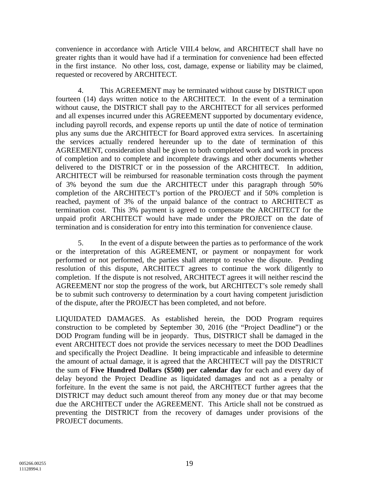convenience in accordance with Article VIII.4 below, and ARCHITECT shall have no greater rights than it would have had if a termination for convenience had been effected in the first instance. No other loss, cost, damage, expense or liability may be claimed, requested or recovered by ARCHITECT.

4. This AGREEMENT may be terminated without cause by DISTRICT upon fourteen (14) days written notice to the ARCHITECT. In the event of a termination without cause, the DISTRICT shall pay to the ARCHITECT for all services performed and all expenses incurred under this AGREEMENT supported by documentary evidence, including payroll records, and expense reports up until the date of notice of termination plus any sums due the ARCHITECT for Board approved extra services. In ascertaining the services actually rendered hereunder up to the date of termination of this AGREEMENT, consideration shall be given to both completed work and work in process of completion and to complete and incomplete drawings and other documents whether delivered to the DISTRICT or in the possession of the ARCHITECT. In addition, ARCHITECT will be reimbursed for reasonable termination costs through the payment of 3% beyond the sum due the ARCHITECT under this paragraph through 50% completion of the ARCHITECT's portion of the PROJECT and if 50% completion is reached, payment of 3% of the unpaid balance of the contract to ARCHITECT as termination cost. This 3% payment is agreed to compensate the ARCHITECT for the unpaid profit ARCHITECT would have made under the PROJECT on the date of termination and is consideration for entry into this termination for convenience clause.

5. In the event of a dispute between the parties as to performance of the work or the interpretation of this AGREEMENT, or payment or nonpayment for work performed or not performed, the parties shall attempt to resolve the dispute. Pending resolution of this dispute, ARCHITECT agrees to continue the work diligently to completion. If the dispute is not resolved, ARCHITECT agrees it will neither rescind the AGREEMENT nor stop the progress of the work, but ARCHITECT's sole remedy shall be to submit such controversy to determination by a court having competent jurisdiction of the dispute, after the PROJECT has been completed, and not before.

LIQUIDATED DAMAGES. As established herein, the DOD Program requires construction to be completed by September 30, 2016 (the "Project Deadline") or the DOD Program funding will be in jeopardy. Thus, DISTRICT shall be damaged in the event ARCHITECT does not provide the services necessary to meet the DOD Deadlines and specifically the Project Deadline. It being impracticable and infeasible to determine the amount of actual damage, it is agreed that the ARCHITECT will pay the DISTRICT the sum of **Five Hundred Dollars (\$500) per calendar day** for each and every day of delay beyond the Project Deadline as liquidated damages and not as a penalty or forfeiture. In the event the same is not paid, the ARCHITECT further agrees that the DISTRICT may deduct such amount thereof from any money due or that may become due the ARCHITECT under the AGREEMENT. This Article shall not be construed as preventing the DISTRICT from the recovery of damages under provisions of the PROJECT documents.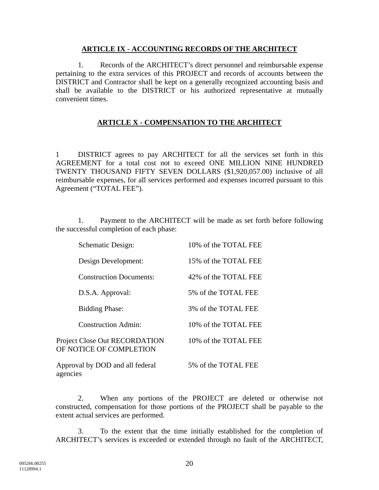#### **ARTICLE IX - ACCOUNTING RECORDS OF THE ARCHITECT**

1. Records of the ARCHITECT's direct personnel and reimbursable expense pertaining to the extra services of this PROJECT and records of accounts between the DISTRICT and Contractor shall be kept on a generally recognized accounting basis and shall be available to the DISTRICT or his authorized representative at mutually convenient times.

### **ARTICLE X - COMPENSATION TO THE ARCHITECT**

1 DISTRICT agrees to pay ARCHITECT for all the services set forth in this AGREEMENT for a total cost not to exceed ONE MILLION NINE HUNDRED TWENTY THOUSAND FIFTY SEVEN DOLLARS (\$1,920,057.00) inclusive of all reimbursable expenses, for all services performed and expenses incurred pursuant to this Agreement ("TOTAL FEE").

1. Payment to the ARCHITECT will be made as set forth before following the successful completion of each phase:

| Schematic Design:                                        | 10% of the TOTAL FEE  |
|----------------------------------------------------------|-----------------------|
| Design Development:                                      | 15% of the TOTAL FEE  |
| <b>Construction Documents:</b>                           | 42\% of the TOTAL FEE |
| D.S.A. Approval:                                         | 5% of the TOTAL FEE   |
| <b>Bidding Phase:</b>                                    | 3% of the TOTAL FEE   |
| <b>Construction Admin:</b>                               | 10% of the TOTAL FEE  |
| Project Close Out RECORDATION<br>OF NOTICE OF COMPLETION | 10% of the TOTAL FEE  |
| Approval by DOD and all federal<br>agencies              | 5% of the TOTAL FEE   |

2. When any portions of the PROJECT are deleted or otherwise not constructed, compensation for those portions of the PROJECT shall be payable to the extent actual services are performed.

3. To the extent that the time initially established for the completion of ARCHITECT's services is exceeded or extended through no fault of the ARCHITECT,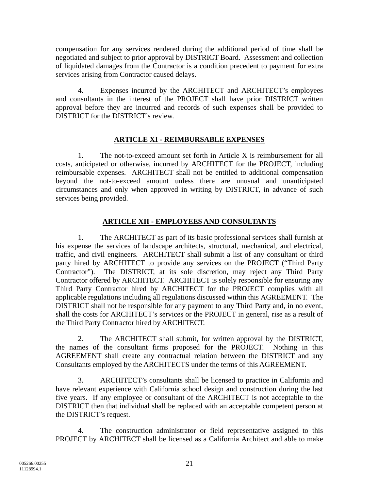compensation for any services rendered during the additional period of time shall be negotiated and subject to prior approval by DISTRICT Board. Assessment and collection of liquidated damages from the Contractor is a condition precedent to payment for extra services arising from Contractor caused delays.

4. Expenses incurred by the ARCHITECT and ARCHITECT's employees and consultants in the interest of the PROJECT shall have prior DISTRICT written approval before they are incurred and records of such expenses shall be provided to DISTRICT for the DISTRICT's review.

# **ARTICLE XI - REIMBURSABLE EXPENSES**

1. The not-to-exceed amount set forth in Article X is reimbursement for all costs, anticipated or otherwise, incurred by ARCHITECT for the PROJECT, including reimbursable expenses. ARCHITECT shall not be entitled to additional compensation beyond the not-to-exceed amount unless there are unusual and unanticipated circumstances and only when approved in writing by DISTRICT, in advance of such services being provided.

# **ARTICLE XII - EMPLOYEES AND CONSULTANTS**

1. The ARCHITECT as part of its basic professional services shall furnish at his expense the services of landscape architects, structural, mechanical, and electrical, traffic, and civil engineers. ARCHITECT shall submit a list of any consultant or third party hired by ARCHITECT to provide any services on the PROJECT ("Third Party Contractor"). The DISTRICT, at its sole discretion, may reject any Third Party Contractor offered by ARCHITECT. ARCHITECT is solely responsible for ensuring any Third Party Contractor hired by ARCHITECT for the PROJECT complies with all applicable regulations including all regulations discussed within this AGREEMENT. The DISTRICT shall not be responsible for any payment to any Third Party and, in no event, shall the costs for ARCHITECT's services or the PROJECT in general, rise as a result of the Third Party Contractor hired by ARCHITECT.

2. The ARCHITECT shall submit, for written approval by the DISTRICT, the names of the consultant firms proposed for the PROJECT. Nothing in this AGREEMENT shall create any contractual relation between the DISTRICT and any Consultants employed by the ARCHITECTS under the terms of this AGREEMENT.

3. ARCHITECT's consultants shall be licensed to practice in California and have relevant experience with California school design and construction during the last five years. If any employee or consultant of the ARCHITECT is not acceptable to the DISTRICT then that individual shall be replaced with an acceptable competent person at the DISTRICT's request.

4. The construction administrator or field representative assigned to this PROJECT by ARCHITECT shall be licensed as a California Architect and able to make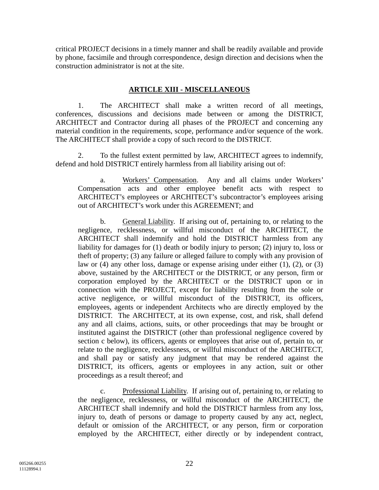critical PROJECT decisions in a timely manner and shall be readily available and provide by phone, facsimile and through correspondence, design direction and decisions when the construction administrator is not at the site.

### **ARTICLE XIII - MISCELLANEOUS**

1. The ARCHITECT shall make a written record of all meetings, conferences, discussions and decisions made between or among the DISTRICT, ARCHITECT and Contractor during all phases of the PROJECT and concerning any material condition in the requirements, scope, performance and/or sequence of the work. The ARCHITECT shall provide a copy of such record to the DISTRICT.

2. To the fullest extent permitted by law, ARCHITECT agrees to indemnify, defend and hold DISTRICT entirely harmless from all liability arising out of:

a. Workers' Compensation. Any and all claims under Workers' Compensation acts and other employee benefit acts with respect to ARCHITECT's employees or ARCHITECT's subcontractor's employees arising out of ARCHITECT's work under this AGREEMENT; and

b. General Liability. If arising out of, pertaining to, or relating to the negligence, recklessness, or willful misconduct of the ARCHITECT, the ARCHITECT shall indemnify and hold the DISTRICT harmless from any liability for damages for (1) death or bodily injury to person; (2) injury to, loss or theft of property; (3) any failure or alleged failure to comply with any provision of law or (4) any other loss, damage or expense arising under either (1), (2), or (3) above, sustained by the ARCHITECT or the DISTRICT, or any person, firm or corporation employed by the ARCHITECT or the DISTRICT upon or in connection with the PROJECT, except for liability resulting from the sole or active negligence, or willful misconduct of the DISTRICT, its officers, employees, agents or independent Architects who are directly employed by the DISTRICT. The ARCHITECT, at its own expense, cost, and risk, shall defend any and all claims, actions, suits, or other proceedings that may be brought or instituted against the DISTRICT (other than professional negligence covered by section c below), its officers, agents or employees that arise out of, pertain to, or relate to the negligence, recklessness, or willful misconduct of the ARCHITECT, and shall pay or satisfy any judgment that may be rendered against the DISTRICT, its officers, agents or employees in any action, suit or other proceedings as a result thereof; and

c. Professional Liability. If arising out of, pertaining to, or relating to the negligence, recklessness, or willful misconduct of the ARCHITECT, the ARCHITECT shall indemnify and hold the DISTRICT harmless from any loss, injury to, death of persons or damage to property caused by any act, neglect, default or omission of the ARCHITECT, or any person, firm or corporation employed by the ARCHITECT, either directly or by independent contract,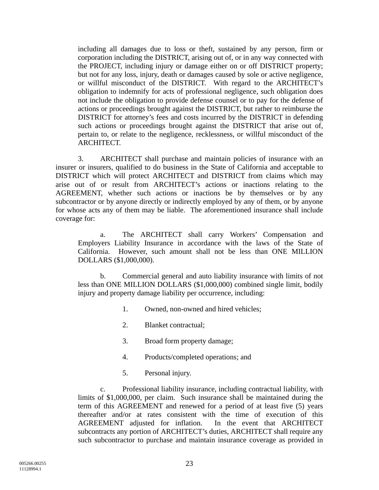including all damages due to loss or theft, sustained by any person, firm or corporation including the DISTRICT, arising out of, or in any way connected with the PROJECT, including injury or damage either on or off DISTRICT property; but not for any loss, injury, death or damages caused by sole or active negligence, or willful misconduct of the DISTRICT. With regard to the ARCHITECT's obligation to indemnify for acts of professional negligence, such obligation does not include the obligation to provide defense counsel or to pay for the defense of actions or proceedings brought against the DISTRICT, but rather to reimburse the DISTRICT for attorney's fees and costs incurred by the DISTRICT in defending such actions or proceedings brought against the DISTRICT that arise out of, pertain to, or relate to the negligence, recklessness, or willful misconduct of the ARCHITECT.

3. ARCHITECT shall purchase and maintain policies of insurance with an insurer or insurers, qualified to do business in the State of California and acceptable to DISTRICT which will protect ARCHITECT and DISTRICT from claims which may arise out of or result from ARCHITECT's actions or inactions relating to the AGREEMENT, whether such actions or inactions be by themselves or by any subcontractor or by anyone directly or indirectly employed by any of them, or by anyone for whose acts any of them may be liable. The aforementioned insurance shall include coverage for:

a. The ARCHITECT shall carry Workers' Compensation and Employers Liability Insurance in accordance with the laws of the State of California. However, such amount shall not be less than ONE MILLION DOLLARS (\$1,000,000).

b. Commercial general and auto liability insurance with limits of not less than ONE MILLION DOLLARS (\$1,000,000) combined single limit, bodily injury and property damage liability per occurrence, including:

- 1. Owned, non-owned and hired vehicles;
- 2. Blanket contractual;
- 3. Broad form property damage;
- 4. Products/completed operations; and
- 5. Personal injury.

c. Professional liability insurance, including contractual liability, with limits of \$1,000,000, per claim. Such insurance shall be maintained during the term of this AGREEMENT and renewed for a period of at least five (5) years thereafter and/or at rates consistent with the time of execution of this AGREEMENT adjusted for inflation. In the event that ARCHITECT subcontracts any portion of ARCHITECT's duties, ARCHITECT shall require any such subcontractor to purchase and maintain insurance coverage as provided in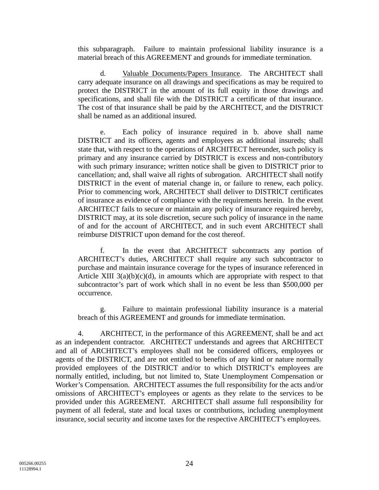this subparagraph. Failure to maintain professional liability insurance is a material breach of this AGREEMENT and grounds for immediate termination.

d. Valuable Documents/Papers Insurance. The ARCHITECT shall carry adequate insurance on all drawings and specifications as may be required to protect the DISTRICT in the amount of its full equity in those drawings and specifications, and shall file with the DISTRICT a certificate of that insurance. The cost of that insurance shall be paid by the ARCHITECT, and the DISTRICT shall be named as an additional insured.

e. Each policy of insurance required in b. above shall name DISTRICT and its officers, agents and employees as additional insureds; shall state that, with respect to the operations of ARCHITECT hereunder, such policy is primary and any insurance carried by DISTRICT is excess and non-contributory with such primary insurance; written notice shall be given to DISTRICT prior to cancellation; and, shall waive all rights of subrogation. ARCHITECT shall notify DISTRICT in the event of material change in, or failure to renew, each policy. Prior to commencing work, ARCHITECT shall deliver to DISTRICT certificates of insurance as evidence of compliance with the requirements herein. In the event ARCHITECT fails to secure or maintain any policy of insurance required hereby, DISTRICT may, at its sole discretion, secure such policy of insurance in the name of and for the account of ARCHITECT, and in such event ARCHITECT shall reimburse DISTRICT upon demand for the cost thereof.

f. In the event that ARCHITECT subcontracts any portion of ARCHITECT's duties, ARCHITECT shall require any such subcontractor to purchase and maintain insurance coverage for the types of insurance referenced in Article XIII  $3(a)(b)(c)(d)$ , in amounts which are appropriate with respect to that subcontractor's part of work which shall in no event be less than \$500,000 per occurrence.

g. Failure to maintain professional liability insurance is a material breach of this AGREEMENT and grounds for immediate termination.

4. ARCHITECT, in the performance of this AGREEMENT, shall be and act as an independent contractor. ARCHITECT understands and agrees that ARCHITECT and all of ARCHITECT's employees shall not be considered officers, employees or agents of the DISTRICT, and are not entitled to benefits of any kind or nature normally provided employees of the DISTRICT and/or to which DISTRICT's employees are normally entitled, including, but not limited to, State Unemployment Compensation or Worker's Compensation. ARCHITECT assumes the full responsibility for the acts and/or omissions of ARCHITECT's employees or agents as they relate to the services to be provided under this AGREEMENT. ARCHITECT shall assume full responsibility for payment of all federal, state and local taxes or contributions, including unemployment insurance, social security and income taxes for the respective ARCHITECT's employees.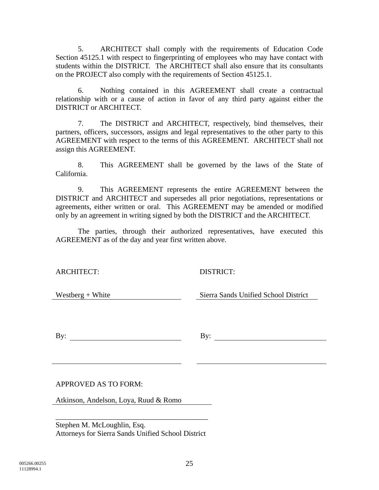5. ARCHITECT shall comply with the requirements of Education Code Section 45125.1 with respect to fingerprinting of employees who may have contact with students within the DISTRICT. The ARCHITECT shall also ensure that its consultants on the PROJECT also comply with the requirements of Section 45125.1.

6. Nothing contained in this AGREEMENT shall create a contractual relationship with or a cause of action in favor of any third party against either the DISTRICT or ARCHITECT.

7. The DISTRICT and ARCHITECT, respectively, bind themselves, their partners, officers, successors, assigns and legal representatives to the other party to this AGREEMENT with respect to the terms of this AGREEMENT. ARCHITECT shall not assign this AGREEMENT.

8. This AGREEMENT shall be governed by the laws of the State of California.

9. This AGREEMENT represents the entire AGREEMENT between the DISTRICT and ARCHITECT and supersedes all prior negotiations, representations or agreements, either written or oral. This AGREEMENT may be amended or modified only by an agreement in writing signed by both the DISTRICT and the ARCHITECT.

The parties, through their authorized representatives, have executed this AGREEMENT as of the day and year first written above.

ARCHITECT: DISTRICT:

Westberg + White Sierra Sands Unified School District

By: By:

APPROVED AS TO FORM:

Atkinson, Andelson, Loya, Ruud & Romo

Stephen M. McLoughlin, Esq. Attorneys for Sierra Sands Unified School District

\_\_\_\_\_\_\_\_\_\_\_\_\_\_\_\_\_\_\_\_\_\_\_\_\_\_\_\_\_\_\_\_\_\_\_\_\_\_\_\_\_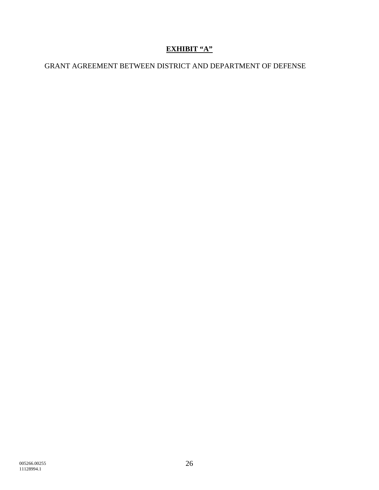# **EXHIBIT "A"**

# GRANT AGREEMENT BETWEEN DISTRICT AND DEPARTMENT OF DEFENSE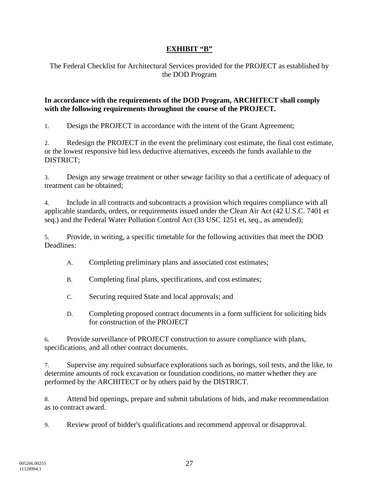### **EXHIBIT "B"**

The Federal Checklist for Architectural Services provided for the PROJECT as established by the DOD Program

### **In accordance with the requirements of the DOD Program, ARCHITECT shall comply with the following requirements throughout the course of the PROJECT.**

1. Design the PROJECT in accordance with the intent of the Grant Agreement;

2. Redesign the PROJECT in the event the preliminary cost estimate, the final cost estimate, or the lowest responsive bid less deductive alternatives, exceeds the funds available to the DISTRICT;

3. Design any sewage treatment or other sewage facility so that a certificate of adequacy of treatment can be obtained;

4. Include in all contracts and subcontracts a provision which requires compliance with all applicable standards, orders, or requirements issued under the Clean Air Act (42 U.S.C. 7401 et seq.) and the Federal Water Pollution Control Act (33 USC 1251 et, seq., as amended);

5. Provide, in writing, a specific timetable for the following activities that meet the DOD Deadlines:

- A. Completing preliminary plans and associated cost estimates;
- B. Completing final plans, specifications, and cost estimates;
- C. Securing required State and local approvals; and
- D. Completing proposed contract documents in a form sufficient for soliciting bids for construction of the PROJECT

6. Provide surveillance of PROJECT construction to assure compliance with plans, specifications, and all other contract documents.

7. Supervise any required subsurface explorations such as borings, soil tests, and the like, to determine amounts of rock excavation or foundation conditions, no matter whether they are performed by the ARCHITECT or by others paid by the DISTRICT.

8. Attend bid openings, prepare and submit tabulations of bids, and make recommendation as to contract award.

9. Review proof of bidder's qualifications and recommend approval or disapproval.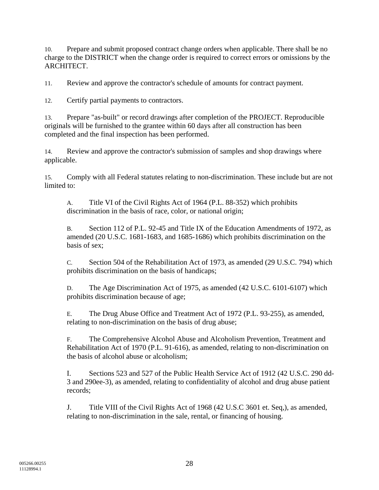10. Prepare and submit proposed contract change orders when applicable. There shall be no charge to the DISTRICT when the change order is required to correct errors or omissions by the ARCHITECT.

11. Review and approve the contractor's schedule of amounts for contract payment.

12. Certify partial payments to contractors.

13. Prepare "as-built" or record drawings after completion of the PROJECT. Reproducible originals will be furnished to the grantee within 60 days after all construction has been completed and the final inspection has been performed.

14. Review and approve the contractor's submission of samples and shop drawings where applicable.

15. Comply with all Federal statutes relating to non-discrimination. These include but are not limited to:

A. Title VI of the Civil Rights Act of 1964 (P.L. 88-352) which prohibits discrimination in the basis of race, color, or national origin;

B. Section 112 of P.L. 92-45 and Title IX of the Education Amendments of 1972, as amended (20 U.S.C. 1681-1683, and 1685-1686) which prohibits discrimination on the basis of sex;

C. Section 504 of the Rehabilitation Act of 1973, as amended (29 U.S.C. 794) which prohibits discrimination on the basis of handicaps;

D. The Age Discrimination Act of 1975, as amended (42 U.S.C. 6101-6107) which prohibits discrimination because of age;

E. The Drug Abuse Office and Treatment Act of 1972 (P.L. 93-255), as amended, relating to non-discrimination on the basis of drug abuse;

F. The Comprehensive Alcohol Abuse and Alcoholism Prevention, Treatment and Rehabilitation Act of 1970 (P.L. 91-616), as amended, relating to non-discrimination on the basis of alcohol abuse or alcoholism;

I. Sections 523 and 527 of the Public Health Service Act of 1912 (42 U.S.C. 290 dd-3 and 290ee-3), as amended, relating to confidentiality of alcohol and drug abuse patient records;

J. Title VIII of the Civil Rights Act of 1968 (42 U.S.C 3601 et. Seq,), as amended, relating to non-discrimination in the sale, rental, or financing of housing.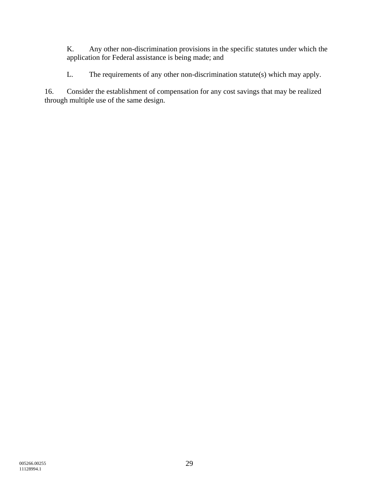K. Any other non-discrimination provisions in the specific statutes under which the application for Federal assistance is being made; and

L. The requirements of any other non-discrimination statute(s) which may apply.

16. Consider the establishment of compensation for any cost savings that may be realized through multiple use of the same design.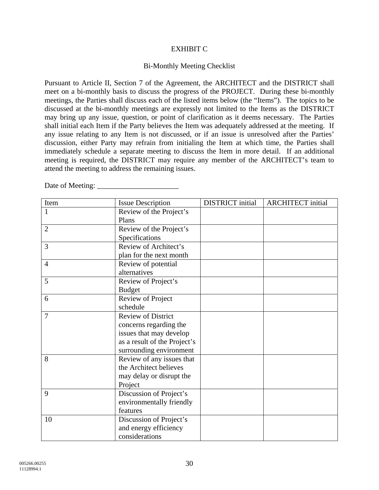#### EXHIBIT C

#### Bi-Monthly Meeting Checklist

Pursuant to Article II, Section 7 of the Agreement, the ARCHITECT and the DISTRICT shall meet on a bi-monthly basis to discuss the progress of the PROJECT. During these bi-monthly meetings, the Parties shall discuss each of the listed items below (the "Items"). The topics to be discussed at the bi-monthly meetings are expressly not limited to the Items as the DISTRICT may bring up any issue, question, or point of clarification as it deems necessary. The Parties shall initial each Item if the Party believes the Item was adequately addressed at the meeting. If any issue relating to any Item is not discussed, or if an issue is unresolved after the Parties' discussion, either Party may refrain from initialing the Item at which time, the Parties shall immediately schedule a separate meeting to discuss the Item in more detail. If an additional meeting is required, the DISTRICT may require any member of the ARCHITECT's team to attend the meeting to address the remaining issues.

Date of Meeting: \_\_\_\_\_\_\_\_\_\_\_\_\_\_\_\_\_\_\_\_\_\_

| Item           | <b>Issue Description</b>     | <b>DISTRICT</b> initial | <b>ARCHITECT</b> initial |
|----------------|------------------------------|-------------------------|--------------------------|
| 1              | Review of the Project's      |                         |                          |
|                | Plans                        |                         |                          |
| $\overline{2}$ | Review of the Project's      |                         |                          |
|                | Specifications               |                         |                          |
| 3              | Review of Architect's        |                         |                          |
|                | plan for the next month      |                         |                          |
| $\overline{4}$ | Review of potential          |                         |                          |
|                | alternatives                 |                         |                          |
| 5              | Review of Project's          |                         |                          |
|                | <b>Budget</b>                |                         |                          |
| 6              | Review of Project            |                         |                          |
|                | schedule                     |                         |                          |
| $\overline{7}$ | <b>Review of District</b>    |                         |                          |
|                | concerns regarding the       |                         |                          |
|                | issues that may develop      |                         |                          |
|                | as a result of the Project's |                         |                          |
|                | surrounding environment      |                         |                          |
| 8              | Review of any issues that    |                         |                          |
|                | the Architect believes       |                         |                          |
|                | may delay or disrupt the     |                         |                          |
|                | Project                      |                         |                          |
| 9              | Discussion of Project's      |                         |                          |
|                | environmentally friendly     |                         |                          |
|                | features                     |                         |                          |
| 10             | Discussion of Project's      |                         |                          |
|                | and energy efficiency        |                         |                          |
|                | considerations               |                         |                          |